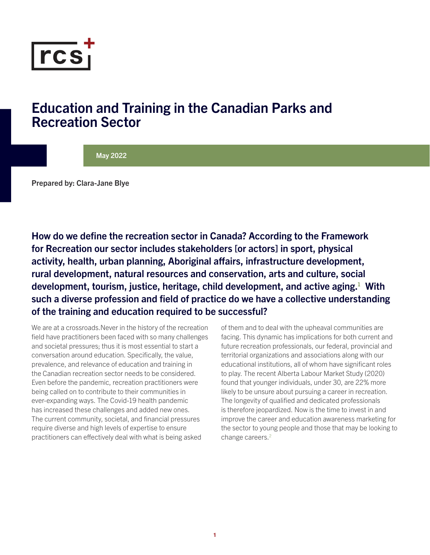<span id="page-0-0"></span>

### Education and Training in the Canadian Parks and Recreation Sector

#### May 2022

Prepared by: Clara-Jane Blye

How do we define the recreation sector in Canada? According to the Framework for Recreation our sector includes stakeholders [or actors] in sport, physical activity, health, urban planning, Aboriginal affairs, infrastructure development, rural development, natural resources and conservation, arts and culture, social development, tourism, justice, heritage, child development, and active aging. $^1$  $^1$  With such a diverse profession and field of practice do we have a collective understanding of the training and education required to be successful?

We are at a crossroads.Never in the history of the recreation field have practitioners been faced with so many challenges and societal pressures; thus it is most essential to start a conversation around education. Specifically, the value, prevalence, and relevance of education and training in the Canadian recreation sector needs to be considered. Even before the pandemic, recreation practitioners were being called on to contribute to their communities in ever-expanding ways. The Covid-19 health pandemic has increased these challenges and added new ones. The current community, societal, and financial pressures require diverse and high levels of expertise to ensure practitioners can effectively deal with what is being asked

of them and to deal with the upheaval communities are facing. This dynamic has implications for both current and future recreation professionals, our federal, provincial and territorial organizations and associations along with our educational institutions, all of whom have significant roles to play. The recent Alberta Labour Market Study (2020) found that younger individuals, under 30, are 22% more likely to be unsure about pursuing a career in recreation. The longevity of qualified and dedicated professionals is therefore jeopardized. Now is the time to invest in and improve the career and education awareness marketing for the sector to young people and those that may be looking to change careers.<sup>[2](#page-4-0)</sup>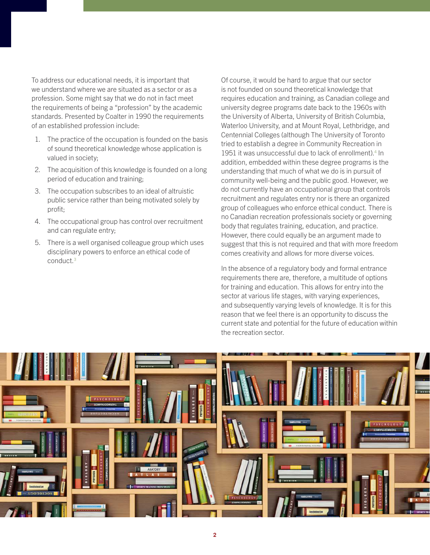<span id="page-1-0"></span>To address our educational needs, it is important that we understand where we are situated as a sector or as a profession. Some might say that we do not in fact meet the requirements of being a "profession" by the academic standards. Presented by Coalter in 1990 the requirements of an established profession include:

- 1. The practice of the occupation is founded on the basis of sound theoretical knowledge whose application is valued in society;
- 2. The acquisition of this knowledge is founded on a long period of education and training;
- 3. The occupation subscribes to an ideal of altruistic public service rather than being motivated solely by profit;
- 4. The occupational group has control over recruitment and can regulate entry;
- 5. There is a well organised colleague group which uses disciplinary powers to enforce an ethical code of conduct.[3](#page-4-0)

Of course, it would be hard to argue that our sector is not founded on sound theoretical knowledge that requires education and training, as Canadian college and university degree programs date back to the 1960s with the University of Alberta, University of British Columbia, Waterloo University, and at Mount Royal, Lethbridge, and Centennial Colleges (although The University of Toronto tried to establish a degree in Community Recreation in 1951 it was unsuccessful due to lack of enrollment).<sup>[4](#page-4-0)</sup> In addition, embedded within these degree programs is the understanding that much of what we do is in pursuit of community well-being and the public good. However, we do not currently have an occupational group that controls recruitment and regulates entry nor is there an organized group of colleagues who enforce ethical conduct. There is no Canadian recreation professionals society or governing body that regulates training, education, and practice. However, there could equally be an argument made to suggest that this is not required and that with more freedom comes creativity and allows for more diverse voices.

In the absence of a regulatory body and formal entrance requirements there are, therefore, a multitude of options for training and education. This allows for entry into the sector at various life stages, with varying experiences, and subsequently varying levels of knowledge. It is for this reason that we feel there is an opportunity to discuss the current state and potential for the future of education within the recreation sector.

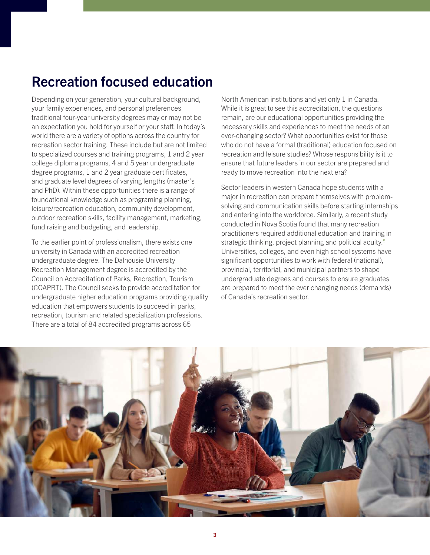# <span id="page-2-0"></span>Recreation focused education

Depending on your generation, your cultural background, your family experiences, and personal preferences traditional four-year university degrees may or may not be an expectation you hold for yourself or your staff. In today's world there are a variety of options across the country for recreation sector training. These include but are not limited to specialized courses and training programs, 1 and 2 year college diploma programs, 4 and 5 year undergraduate degree programs, 1 and 2 year graduate certificates, and graduate level degrees of varying lengths (master's and PhD). Within these opportunities there is a range of foundational knowledge such as programing planning, leisure/recreation education, community development, outdoor recreation skills, facility management, marketing, fund raising and budgeting, and leadership.

To the earlier point of professionalism, there exists one university in Canada with an accredited recreation undergraduate degree. The Dalhousie University Recreation Management degree is accredited by the Council on Accreditation of Parks, Recreation, Tourism (COAPRT). The Council seeks to provide accreditation for undergraduate higher education programs providing quality education that empowers students to succeed in parks, recreation, tourism and related specialization professions. There are a total of 84 accredited programs across 65

North American institutions and yet only 1 in Canada. While it is great to see this accreditation, the questions remain, are our educational opportunities providing the necessary skills and experiences to meet the needs of an ever-changing sector? What opportunities exist for those who do not have a formal (traditional) education focused on recreation and leisure studies? Whose responsibility is it to ensure that future leaders in our sector are prepared and ready to move recreation into the next era?

Sector leaders in western Canada hope students with a major in recreation can prepare themselves with problemsolving and communication skills before starting internships and entering into the workforce. Similarly, a recent study conducted in Nova Scotia found that many recreation practitioners required additional education and training in strategic thinking, project planning and political acuity.<sup>[5](#page-4-0)</sup> Universities, colleges, and even high school systems have significant opportunities to work with federal (national), provincial, territorial, and municipal partners to shape undergraduate degrees and courses to ensure graduates are prepared to meet the ever changing needs (demands) of Canada's recreation sector.

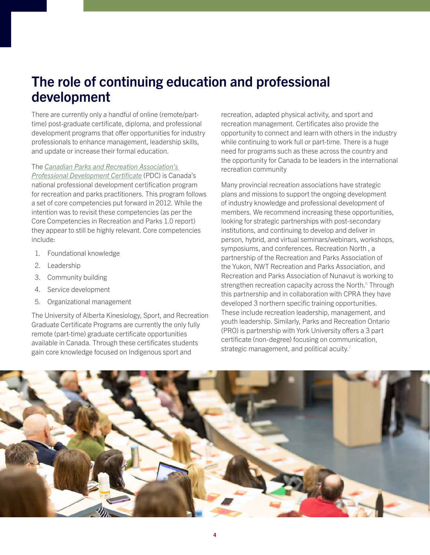## <span id="page-3-0"></span>The role of continuing education and professional development

There are currently only a handful of online (remote/parttime) post-graduate certificate, diploma, and professional development programs that offer opportunities for industry professionals to enhance management, leadership skills, and update or increase their formal education.

The [Canadian Parks and Recreation Association's](https://cprapdc.ca)  [Professional Development Certificate](https://cprapdc.ca) (PDC) is Canada's national professional development certification program for recreation and parks practitioners. This program follows a set of core competencies put forward in 2012. While the intention was to revisit these competencies (as per the Core Competencies in Recreation and Parks 1.0 report) they appear to still be highly relevant. Core competencies include:

- 1. Foundational knowledge
- 2. Leadership
- 3. Community building
- 4. Service development
- 5. Organizational management

The University of Alberta Kinesiology, Sport, and Recreation Graduate Certificate Programs are currently the only fully remote (part-time) graduate certificate opportunities available in Canada. Through these certificates students gain core knowledge focused on Indigenous sport and

recreation, adapted physical activity, and sport and recreation management. Certificates also provide the opportunity to connect and learn with others in the industry while continuing to work full or part-time. There is a huge need for programs such as these across the country and the opportunity for Canada to be leaders in the international recreation community

Many provincial recreation associations have strategic plans and missions to support the ongoing development of industry knowledge and professional development of members. We recommend increasing these opportunities, looking for strategic partnerships with post-secondary institutions, and continuing to develop and deliver in person, hybrid, and virtual seminars/webinars, workshops, symposiums, and conferences. Recreation North , a partnership of the Recreation and Parks Association of the Yukon, NWT Recreation and Parks Association, and Recreation and Parks Association of Nunavut is working to strengthen recreation capacity across the North.<sup>[6](#page-4-0)</sup> Through this partnership and in collaboration with CPRA they have developed 3 northern specific training opportunities. These include recreation leadership, management, and youth leadership. Similarly, Parks and Recreation Ontario (PRO) is partnership with York University offers a 3 part certificate (non-degree) focusing on communication, strategic management, and political acuity.<sup>[7](#page-4-0)</sup>